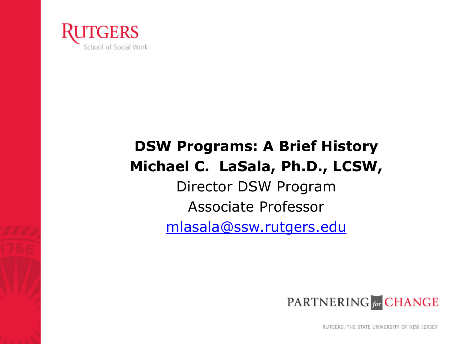

#### **DSW Programs: A Brief History Michael C. LaSala, Ph.D., LCSW,**  Director DSW Program Associate Professor

[mlasala@ssw.rutgers.edu](mailto:mlasala@ssw.rutgers.edu)



RUTGERS, THE STATE UNIVERSITY OF NEW JERSEY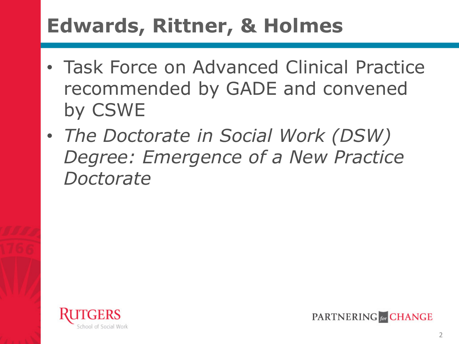### **Edwards, Rittner, & Holmes**

- Task Force on Advanced Clinical Practice recommended by GADE and convened by CSWE
- *The Doctorate in Social Work (DSW) Degree: Emergence of a New Practice Doctorate*



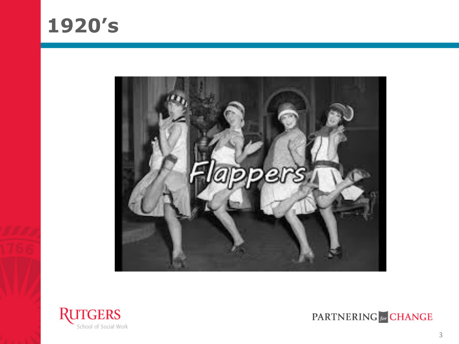#### **1920's**





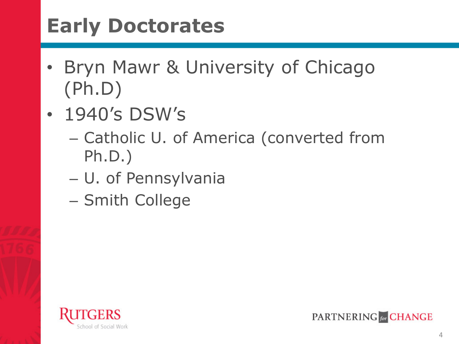### **Early Doctorates**

- Bryn Mawr & University of Chicago (Ph.D)
- 1940's DSW's
	- Catholic U. of America (converted from Ph.D.)
	- U. of Pennsylvania
	- Smith College



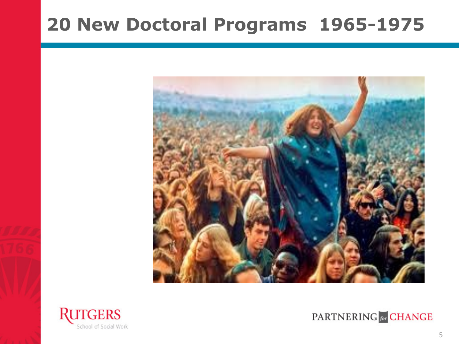#### **20 New Doctoral Programs 1965-1975**





PARTNERING for CHANGE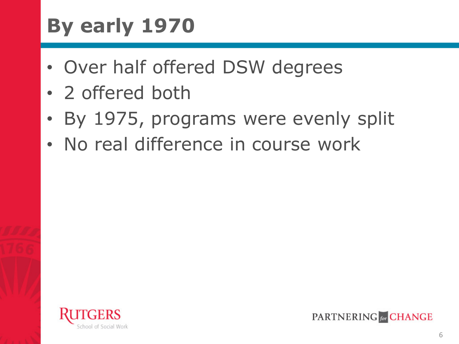# **By early 1970**

- Over half offered DSW degrees
- 2 offered both
- By 1975, programs were evenly split
- No real difference in course work



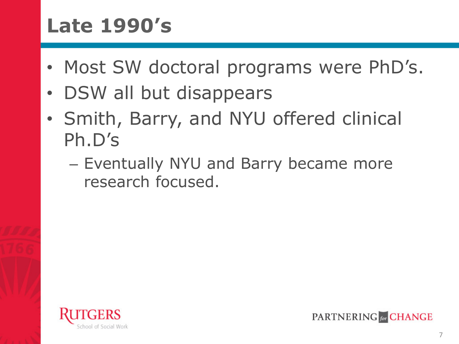#### **Late 1990's**

- Most SW doctoral programs were PhD's.
- DSW all but disappears
- Smith, Barry, and NYU offered clinical Ph.D's
	- Eventually NYU and Barry became more research focused.



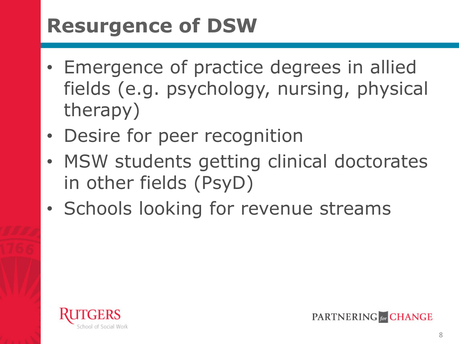#### **Resurgence of DSW**

- Emergence of practice degrees in allied fields (e.g. psychology, nursing, physical therapy)
- Desire for peer recognition
- MSW students getting clinical doctorates in other fields (PsyD)
- Schools looking for revenue streams

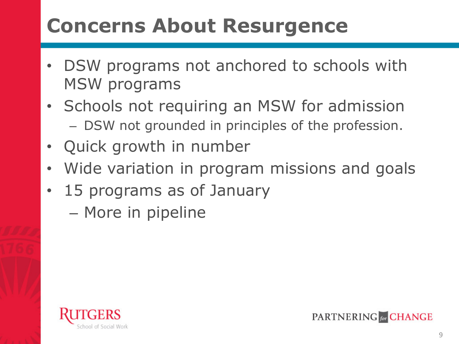#### **Concerns About Resurgence**

- DSW programs not anchored to schools with MSW programs
- Schools not requiring an MSW for admission – DSW not grounded in principles of the profession.
- Quick growth in number
- Wide variation in program missions and goals
- 15 programs as of January
	- More in pipeline

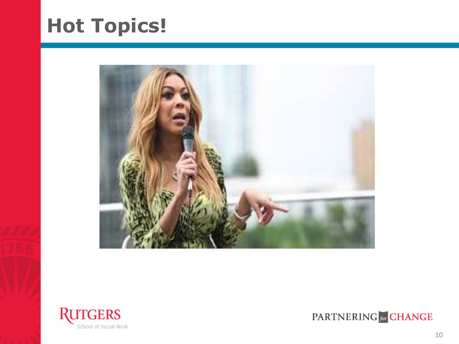#### **Hot Topics!**





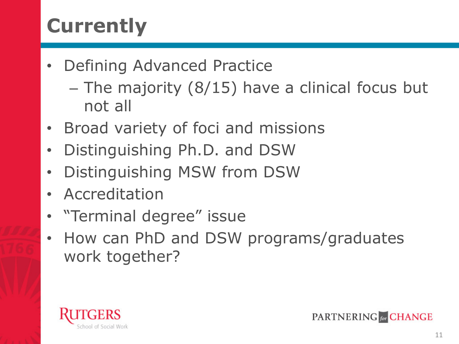## **Currently**

- Defining Advanced Practice
	- The majority (8/15) have a clinical focus but not all
- Broad variety of foci and missions
- Distinguishing Ph.D. and DSW
- Distinguishing MSW from DSW
- Accreditation
- "Terminal degree" issue
- How can PhD and DSW programs/graduates work together?

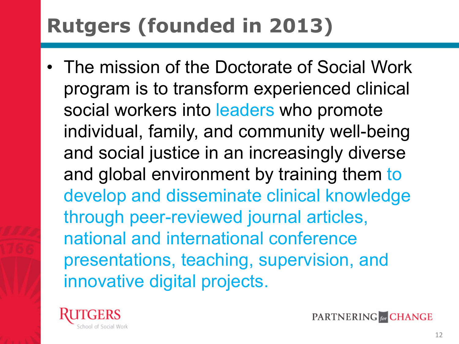## **Rutgers (founded in 2013)**

• The mission of the Doctorate of Social Work program is to transform experienced clinical social workers into leaders who promote individual, family, and community well-being and social justice in an increasingly diverse and global environment by training them to develop and disseminate clinical knowledge through peer-reviewed journal articles, national and international conference presentations, teaching, supervision, and innovative digital projects.



PARTNERING for CHANGE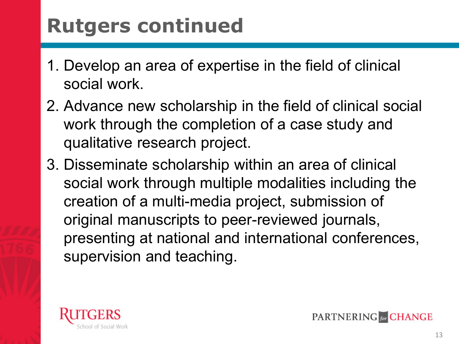#### **Rutgers continued**

- 1. Develop an area of expertise in the field of clinical social work.
- 2. Advance new scholarship in the field of clinical social work through the completion of a case study and qualitative research project.
- 3. Disseminate scholarship within an area of clinical social work through multiple modalities including the creation of a multi-media project, submission of original manuscripts to peer-reviewed journals, presenting at national and international conferences, supervision and teaching.